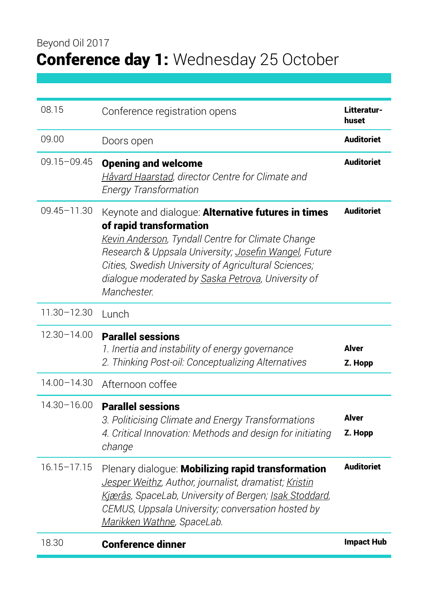| 08.15           | Conference registration opens                                                                                                                                                                                                                                                                                            | Litteratur-<br>huset |
|-----------------|--------------------------------------------------------------------------------------------------------------------------------------------------------------------------------------------------------------------------------------------------------------------------------------------------------------------------|----------------------|
| 09.00           | Doors open                                                                                                                                                                                                                                                                                                               | <b>Auditoriet</b>    |
| $09.15 - 09.45$ | <b>Opening and welcome</b><br>Håvard Haarstad, director Centre for Climate and<br><b>Energy Transformation</b>                                                                                                                                                                                                           | <b>Auditoriet</b>    |
| $09.45 - 11.30$ | Keynote and dialogue: Alternative futures in times<br>of rapid transformation<br>Kevin Anderson, Tyndall Centre for Climate Change<br>Research & Uppsala University; Josefin Wangel, Future<br>Cities, Swedish University of Agricultural Sciences;<br>dialogue moderated by Saska Petrova, University of<br>Manchester. | <b>Auditoriet</b>    |
| 11.30-12.30     | Lunch                                                                                                                                                                                                                                                                                                                    |                      |
| 12.30-14.00     | <b>Parallel sessions</b><br>1. Inertia and instability of energy governance<br>2. Thinking Post-oil: Conceptualizing Alternatives                                                                                                                                                                                        | Alver<br>Z. Hopp     |
| 14.00-14.30     | Afternoon coffee                                                                                                                                                                                                                                                                                                         |                      |
| 14.30-16.00     | <b>Parallel sessions</b><br>3. Politicising Climate and Energy Transformations<br>4. Critical Innovation: Methods and design for initiating<br>change                                                                                                                                                                    | Alver<br>Z. Hopp     |
| $16.15 - 17.15$ | Plenary dialoque: Mobilizing rapid transformation<br>Jesper Weithz, Author, journalist, dramatist; Kristin<br>Kjærås, SpaceLab, University of Bergen; Isak Stoddard,<br>CEMUS, Uppsala University; conversation hosted by<br>Marikken Wathne, SpaceLab.                                                                  | <b>Auditoriet</b>    |
| 18.30           | <b>Conference dinner</b>                                                                                                                                                                                                                                                                                                 | <b>Impact Hub</b>    |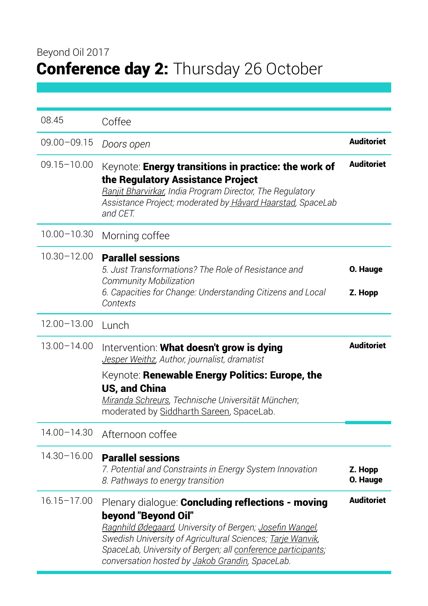# Beyond Oil 2017 Conference day 2: Thursday 26 October

| 08.45           | Coffee                                                                                                                                                                                                                                                                                                                |                     |
|-----------------|-----------------------------------------------------------------------------------------------------------------------------------------------------------------------------------------------------------------------------------------------------------------------------------------------------------------------|---------------------|
| $09.00 - 09.15$ | Doors open                                                                                                                                                                                                                                                                                                            | <b>Auditoriet</b>   |
| $09.15 - 10.00$ | Keynote: Energy transitions in practice: the work of<br>the Regulatory Assistance Project<br>Ranjit Bharvirkar, India Program Director, The Regulatory<br>Assistance Project; moderated by Håvard Haarstad, SpaceLab<br>and CET.                                                                                      | <b>Auditoriet</b>   |
| $10.00 - 10.30$ | Morning coffee                                                                                                                                                                                                                                                                                                        |                     |
| $10.30 - 12.00$ | <b>Parallel sessions</b><br>5. Just Transformations? The Role of Resistance and<br>Community Mobilization<br>6. Capacities for Change: Understanding Citizens and Local<br>Contexts                                                                                                                                   | O. Hauge<br>Z. Hopp |
| $12.00 - 13.00$ | Lunch                                                                                                                                                                                                                                                                                                                 |                     |
| 13.00-14.00     | Intervention: What doesn't grow is dying<br>Jesper Weithz, Author, journalist, dramatist<br>Keynote: Renewable Energy Politics: Europe, the<br><b>US, and China</b><br>Miranda Schreurs, Technische Universität München;<br>moderated by Siddharth Sareen, SpaceLab.                                                  | <b>Auditoriet</b>   |
| 14.00-14.30     | Afternoon coffee                                                                                                                                                                                                                                                                                                      |                     |
| 14.30-16.00     | <b>Parallel sessions</b><br>7. Potential and Constraints in Energy System Innovation<br>8. Pathways to energy transition                                                                                                                                                                                              | Z. Hopp<br>O. Hauge |
| $16.15 - 17.00$ | Plenary dialogue: Concluding reflections - moving<br>beyond "Beyond Oil"<br>Ragnhild Ødegaard, University of Bergen; Josefin Wangel,<br>Swedish University of Agricultural Sciences; Tarje Wanvik,<br>SpaceLab, University of Bergen; all conference participants;<br>conversation hosted by Jakob Grandin, SpaceLab. | <b>Auditoriet</b>   |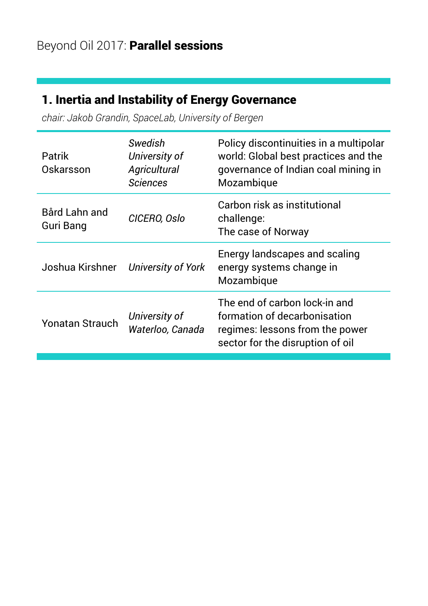# 1. Inertia and Instability of Energy Governance

*chair: Jakob Grandin, SpaceLab, University of Bergen*

| Swedish<br>University of<br>Agricultural<br><b>Sciences</b> | Policy discontinuities in a multipolar<br>world: Global best practices and the<br>governance of Indian coal mining in<br>Mozambique  |
|-------------------------------------------------------------|--------------------------------------------------------------------------------------------------------------------------------------|
| CICERO, Oslo                                                | Carbon risk as institutional<br>challenge:<br>The case of Norway                                                                     |
| <b>University of York</b>                                   | Energy landscapes and scaling<br>energy systems change in<br>Mozambique                                                              |
| University of<br>Waterloo, Canada                           | The end of carbon lock-in and<br>formation of decarbonisation<br>regimes: lessons from the power<br>sector for the disruption of oil |
|                                                             |                                                                                                                                      |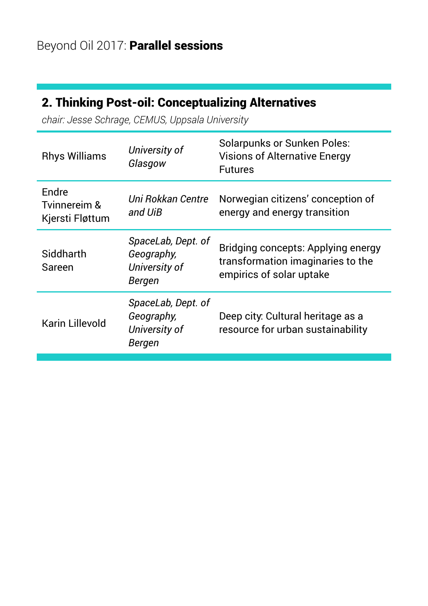# 2. Thinking Post-oil: Conceptualizing Alternatives

*chair: Jesse Schrage, CEMUS, Uppsala University*

| <b>Rhys Williams</b>                            | University of<br>Glasgow                                    | <b>Solarpunks or Sunken Poles:</b><br><b>Visions of Alternative Energy</b><br><b>Futures</b>        |
|-------------------------------------------------|-------------------------------------------------------------|-----------------------------------------------------------------------------------------------------|
| <b>Endre</b><br>Tvinnereim &<br>Kjersti Fløttum | Uni Rokkan Centre<br>and UiB                                | Norwegian citizens' conception of<br>energy and energy transition                                   |
| Siddharth<br>Sareen                             | SpaceLab, Dept. of<br>Geography,<br>University of<br>Bergen | Bridging concepts: Applying energy<br>transformation imaginaries to the<br>empirics of solar uptake |
| Karin Lillevold                                 | SpaceLab, Dept. of<br>Geography,<br>University of<br>Bergen | Deep city: Cultural heritage as a<br>resource for urban sustainability                              |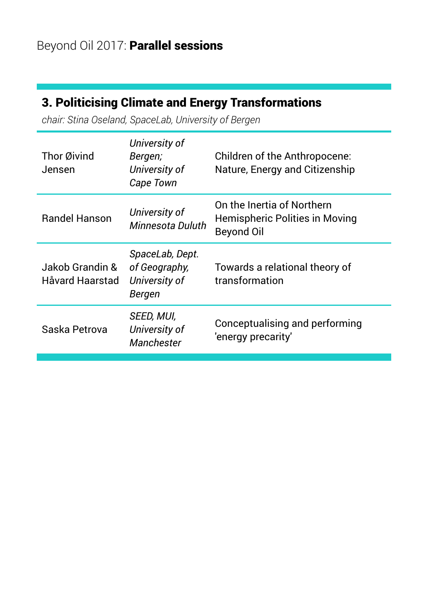# 3. Politicising Climate and Energy Transformations

*chair: Stina Oseland, SpaceLab, University of Bergen*

| Thor Øivind<br>Jensen              | University of<br>Bergen;<br>University of<br>Cape Town      | Children of the Anthropocene:<br>Nature, Energy and Citizenship            |
|------------------------------------|-------------------------------------------------------------|----------------------------------------------------------------------------|
| <b>Bandel Hanson</b>               | University of<br>Minnesota Duluth                           | On the Inertia of Northern<br>Hemispheric Polities in Moving<br>Beyond Oil |
| Jakob Grandin &<br>Håvard Haarstad | SpaceLab, Dept.<br>of Geography,<br>University of<br>Bergen | Towards a relational theory of<br>transformation                           |
| Saska Petrova                      | SEED, MUI,<br>University of<br>Manchester                   | Conceptualising and performing<br>'energy precarity'                       |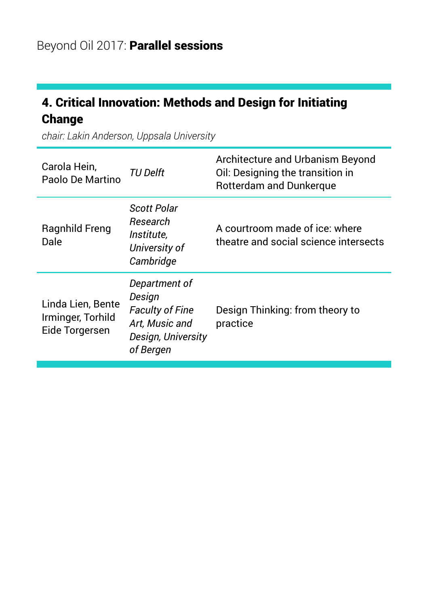# 4. Critical Innovation: Methods and Design for Initiating Change

*chair: Lakin Anderson, Uppsala University*

| Carola Hein,<br>Paolo De Martino                         | <b>TU Delft</b>                                                                                        | Architecture and Urbanism Beyond<br>Oil: Designing the transition in<br>Rotterdam and Dunkerque |
|----------------------------------------------------------|--------------------------------------------------------------------------------------------------------|-------------------------------------------------------------------------------------------------|
| Ragnhild Freng<br>Dale                                   | Scott Polar<br>Research<br><i><u>Institute.</u></i><br>University of<br>Cambridge                      | A courtroom made of ice: where<br>theatre and social science intersects                         |
| Linda Lien, Bente<br>Irminger, Torhild<br>Eide Torgersen | Department of<br>Design<br><b>Faculty of Fine</b><br>Art, Music and<br>Design, University<br>of Bergen | Design Thinking: from theory to<br>practice                                                     |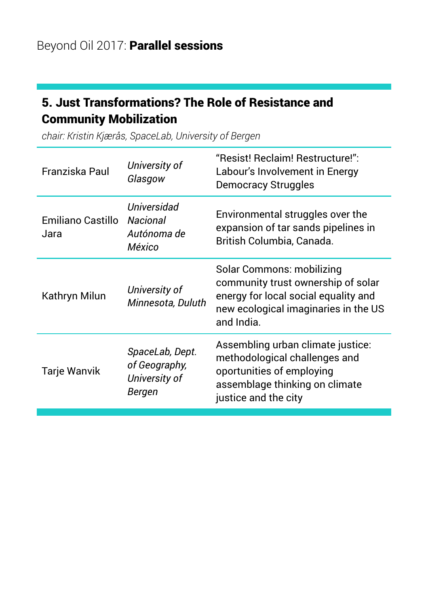#### 5. Just Transformations? The Role of Resistance and Community Mobilization

Franziska Paul *University of Glasgow*  "Resist! Reclaim! Restructure!": Labour's Involvement in Energy Democracy Struggles Emiliano Castillo *Nacional*  Jara *Universidad Autónoma de México* Environmental struggles over the expansion of tar sands pipelines in British Columbia, Canada. Kathryn Milun *University of Minnesota, Duluth* Solar Commons: mobilizing community trust ownership of solar energy for local social equality and new ecological imaginaries in the US and India. Tarje Wanvik *SpaceLab, Dept. of Geography, University of Bergen* Assembling urban climate justice: methodological challenges and oportunities of employing assemblage thinking on climate justice and the city

*chair: Kristin Kjærås, SpaceLab, University of Bergen*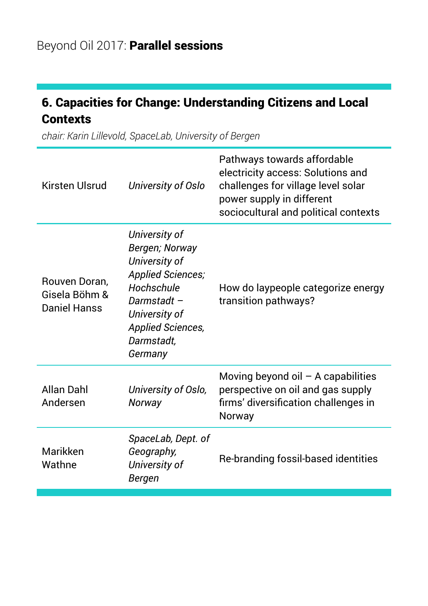# 6. Capacities for Change: Understanding Citizens and Local **Contexts**

*chair: Karin Lillevold, SpaceLab, University of Bergen*

| Kirsten Ulsrud                                 | University of Oslo                                                                                                                                                             | Pathways towards affordable<br>electricity access: Solutions and<br>challenges for village level solar<br>power supply in different<br>sociocultural and political contexts |
|------------------------------------------------|--------------------------------------------------------------------------------------------------------------------------------------------------------------------------------|-----------------------------------------------------------------------------------------------------------------------------------------------------------------------------|
| Rouven Doran,<br>Gisela Böhm &<br>Daniel Hanss | University of<br>Bergen; Norway<br>University of<br><b>Applied Sciences;</b><br>Hochschule<br>Darmstadt-<br>University of<br><b>Applied Sciences,</b><br>Darmstadt.<br>Germany | How do laypeople categorize energy<br>transition pathways?                                                                                                                  |
| Allan Dahl<br>Andersen                         | University of Oslo,<br>Norway                                                                                                                                                  | Moving beyond oil $-$ A capabilities<br>perspective on oil and gas supply<br>firms' diversification challenges in<br>Norway                                                 |
| Marikken<br>Wathne                             | SpaceLab, Dept. of<br>Geography,<br>University of<br>Bergen                                                                                                                    | Re-branding fossil-based identities                                                                                                                                         |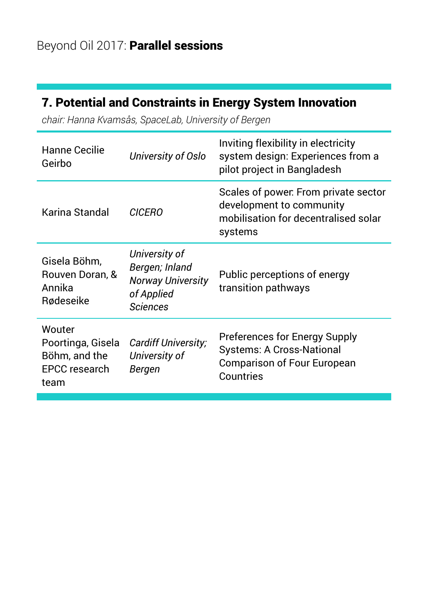# 7. Potential and Constraints in Energy System Innovation

*chair: Hanna Kvamsås, SpaceLab, University of Bergen*

| Hanne Cecilie<br>Geirbo                                               | University of Oslo                                                                           | Inviting flexibility in electricity<br>system design: Experiences from a<br>pilot project in Bangladesh              |
|-----------------------------------------------------------------------|----------------------------------------------------------------------------------------------|----------------------------------------------------------------------------------------------------------------------|
| Karina Standal                                                        | <b>CICERO</b>                                                                                | Scales of power. From private sector<br>development to community<br>mobilisation for decentralised solar<br>systems  |
| Gisela Böhm,<br>Rouven Doran, &<br>Annika<br>Rødeseike                | University of<br>Bergen; Inland<br><b>Norway University</b><br>of Applied<br><b>Sciences</b> | Public perceptions of energy<br>transition pathways                                                                  |
| Wouter<br>Poortinga, Gisela<br>Böhm, and the<br>EPCC research<br>team | Cardiff University;<br>University of<br>Bergen                                               | Preferences for Energy Supply<br><b>Systems: A Cross-National</b><br><b>Comparison of Four European</b><br>Countries |